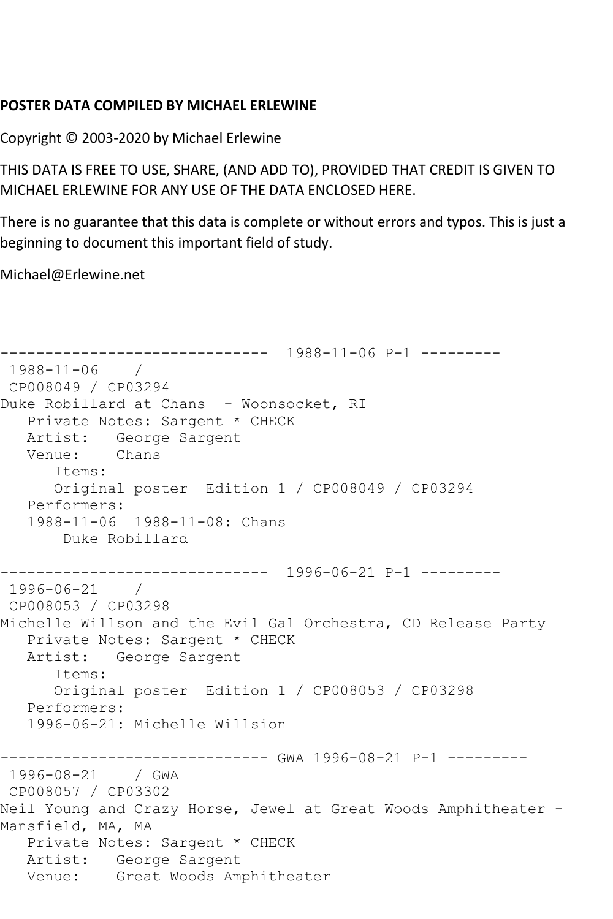## **POSTER DATA COMPILED BY MICHAEL ERLEWINE**

Copyright © 2003-2020 by Michael Erlewine

THIS DATA IS FREE TO USE, SHARE, (AND ADD TO), PROVIDED THAT CREDIT IS GIVEN TO MICHAEL ERLEWINE FOR ANY USE OF THE DATA ENCLOSED HERE.

There is no guarantee that this data is complete or without errors and typos. This is just a beginning to document this important field of study.

Michael@Erlewine.net

```
------------------------------ 1988-11-06 P-1 ---------
1988-11-06 / 
CP008049 / CP03294
Duke Robillard at Chans - Woonsocket, RI
   Private Notes: Sargent * CHECK
  Artist: George Sargent<br>Venue: Chans
  Venue:
      Items:
      Original poster Edition 1 / CP008049 / CP03294
   Performers:
   1988-11-06 1988-11-08: Chans
       Duke Robillard
------------------------------ 1996-06-21 P-1 ---------
1996-06-21 / 
CP008053 / CP03298
Michelle Willson and the Evil Gal Orchestra, CD Release Party
   Private Notes: Sargent * CHECK
   Artist: George Sargent
      Items:
      Original poster Edition 1 / CP008053 / CP03298
   Performers:
   1996-06-21: Michelle Willsion
------------------------------ GWA 1996-08-21 P-1 ---------
1996-08-21 / GWA 
CP008057 / CP03302
Neil Young and Crazy Horse, Jewel at Great Woods Amphitheater -
Mansfield, MA, MA
   Private Notes: Sargent * CHECK
   Artist: George Sargent
   Venue: Great Woods Amphitheater
```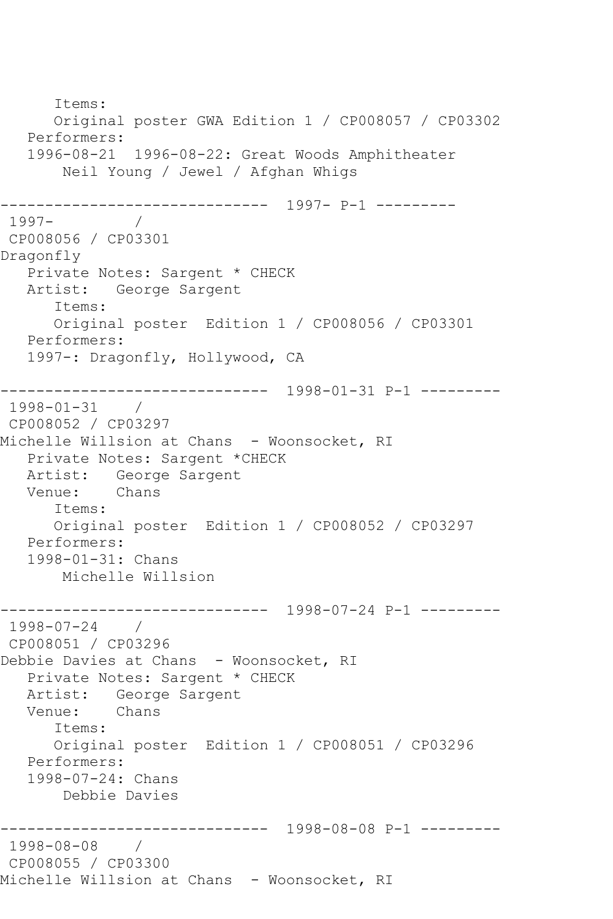Items: Original poster GWA Edition 1 / CP008057 / CP03302 Performers: 1996-08-21 1996-08-22: Great Woods Amphitheater Neil Young / Jewel / Afghan Whigs ------------------------------ 1997- P-1 --------- 1997- / CP008056 / CP03301 Dragonfly Private Notes: Sargent \* CHECK Artist: George Sargent Items: Original poster Edition 1 / CP008056 / CP03301 Performers: 1997-: Dragonfly, Hollywood, CA ------------------------------ 1998-01-31 P-1 --------- 1998-01-31 / CP008052 / CP03297 Michelle Willsion at Chans - Woonsocket, RI Private Notes: Sargent \*CHECK Artist: George Sargent<br>Venue: Chans Venue: Items: Original poster Edition 1 / CP008052 / CP03297 Performers: 1998-01-31: Chans Michelle Willsion ------------------------------ 1998-07-24 P-1 --------- 1998-07-24 / CP008051 / CP03296 Debbie Davies at Chans - Woonsocket, RI Private Notes: Sargent \* CHECK Artist: George Sargent<br>Venue: Chans Venue: Items: Original poster Edition 1 / CP008051 / CP03296 Performers: 1998-07-24: Chans Debbie Davies ------------------------------ 1998-08-08 P-1 --------- 1998-08-08 / CP008055 / CP03300 Michelle Willsion at Chans - Woonsocket, RI